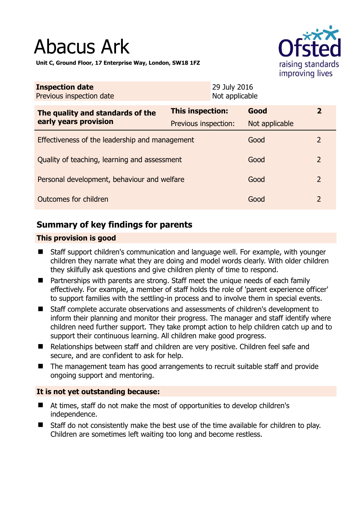# Abacus Ark



**Unit C, Ground Floor, 17 Enterprise Way, London, SW18 1FZ** 

| <b>Inspection date</b><br>Previous inspection date |                         | 29 July 2016<br>Not applicable |                |                |
|----------------------------------------------------|-------------------------|--------------------------------|----------------|----------------|
| The quality and standards of the                   | <b>This inspection:</b> |                                | Good           | $\overline{2}$ |
| early years provision                              | Previous inspection:    |                                | Not applicable |                |
| Effectiveness of the leadership and management     |                         |                                | Good           | 2              |
| Quality of teaching, learning and assessment       |                         |                                | Good           | $\overline{2}$ |
| Personal development, behaviour and welfare        |                         |                                | Good           | $\overline{2}$ |
| <b>Outcomes for children</b>                       |                         |                                | Good           | 2              |

# **Summary of key findings for parents**

## **This provision is good**

- Staff support children's communication and language well. For example, with younger children they narrate what they are doing and model words clearly. With older children they skilfully ask questions and give children plenty of time to respond.
- Partnerships with parents are strong. Staff meet the unique needs of each family effectively. For example, a member of staff holds the role of 'parent experience officer' to support families with the settling-in process and to involve them in special events.
- Staff complete accurate observations and assessments of children's development to inform their planning and monitor their progress. The manager and staff identify where children need further support. They take prompt action to help children catch up and to support their continuous learning. All children make good progress.
- Relationships between staff and children are very positive. Children feel safe and secure, and are confident to ask for help.
- The management team has good arrangements to recruit suitable staff and provide ongoing support and mentoring.

## **It is not yet outstanding because:**

- At times, staff do not make the most of opportunities to develop children's independence.
- Staff do not consistently make the best use of the time available for children to play. Children are sometimes left waiting too long and become restless.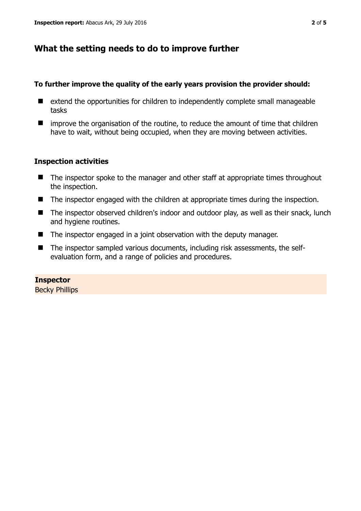# **What the setting needs to do to improve further**

#### **To further improve the quality of the early years provision the provider should:**

- $\blacksquare$  extend the opportunities for children to independently complete small manageable tasks
- $\blacksquare$  improve the organisation of the routine, to reduce the amount of time that children have to wait, without being occupied, when they are moving between activities.

### **Inspection activities**

- The inspector spoke to the manager and other staff at appropriate times throughout the inspection.
- The inspector engaged with the children at appropriate times during the inspection.
- The inspector observed children's indoor and outdoor play, as well as their snack, lunch and hygiene routines.
- The inspector engaged in a joint observation with the deputy manager.
- The inspector sampled various documents, including risk assessments, the selfevaluation form, and a range of policies and procedures.

## **Inspector**

Becky Phillips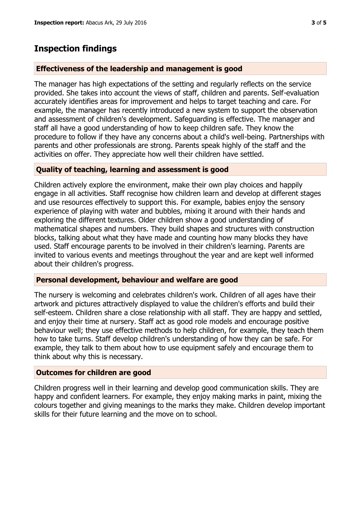# **Inspection findings**

#### **Effectiveness of the leadership and management is good**

The manager has high expectations of the setting and regularly reflects on the service provided. She takes into account the views of staff, children and parents. Self-evaluation accurately identifies areas for improvement and helps to target teaching and care. For example, the manager has recently introduced a new system to support the observation and assessment of children's development. Safeguarding is effective. The manager and staff all have a good understanding of how to keep children safe. They know the procedure to follow if they have any concerns about a child's well-being. Partnerships with parents and other professionals are strong. Parents speak highly of the staff and the activities on offer. They appreciate how well their children have settled.

#### **Quality of teaching, learning and assessment is good**

Children actively explore the environment, make their own play choices and happily engage in all activities. Staff recognise how children learn and develop at different stages and use resources effectively to support this. For example, babies enjoy the sensory experience of playing with water and bubbles, mixing it around with their hands and exploring the different textures. Older children show a good understanding of mathematical shapes and numbers. They build shapes and structures with construction blocks, talking about what they have made and counting how many blocks they have used. Staff encourage parents to be involved in their children's learning. Parents are invited to various events and meetings throughout the year and are kept well informed about their children's progress.

#### **Personal development, behaviour and welfare are good**

The nursery is welcoming and celebrates children's work. Children of all ages have their artwork and pictures attractively displayed to value the children's efforts and build their self-esteem. Children share a close relationship with all staff. They are happy and settled, and enjoy their time at nursery. Staff act as good role models and encourage positive behaviour well; they use effective methods to help children, for example, they teach them how to take turns. Staff develop children's understanding of how they can be safe. For example, they talk to them about how to use equipment safely and encourage them to think about why this is necessary.

## **Outcomes for children are good**

Children progress well in their learning and develop good communication skills. They are happy and confident learners. For example, they enjoy making marks in paint, mixing the colours together and giving meanings to the marks they make. Children develop important skills for their future learning and the move on to school.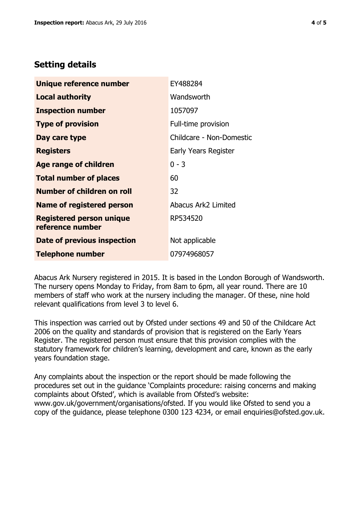# **Setting details**

| Unique reference number                             | EY488284                   |  |
|-----------------------------------------------------|----------------------------|--|
| <b>Local authority</b>                              | Wandsworth                 |  |
| <b>Inspection number</b>                            | 1057097                    |  |
| <b>Type of provision</b>                            | Full-time provision        |  |
| Day care type                                       | Childcare - Non-Domestic   |  |
| <b>Registers</b>                                    | Early Years Register       |  |
| <b>Age range of children</b>                        | $0 - 3$                    |  |
| <b>Total number of places</b>                       | 60                         |  |
| Number of children on roll                          | 32                         |  |
| Name of registered person                           | <b>Abacus Ark2 Limited</b> |  |
| <b>Registered person unique</b><br>reference number | RP534520                   |  |
| Date of previous inspection                         | Not applicable             |  |
| <b>Telephone number</b>                             | 07974968057                |  |

Abacus Ark Nursery registered in 2015. It is based in the London Borough of Wandsworth. The nursery opens Monday to Friday, from 8am to 6pm, all year round. There are 10 members of staff who work at the nursery including the manager. Of these, nine hold relevant qualifications from level 3 to level 6.

This inspection was carried out by Ofsted under sections 49 and 50 of the Childcare Act 2006 on the quality and standards of provision that is registered on the Early Years Register. The registered person must ensure that this provision complies with the statutory framework for children's learning, development and care, known as the early years foundation stage.

Any complaints about the inspection or the report should be made following the procedures set out in the guidance 'Complaints procedure: raising concerns and making complaints about Ofsted', which is available from Ofsted's website: www.gov.uk/government/organisations/ofsted. If you would like Ofsted to send you a copy of the guidance, please telephone 0300 123 4234, or email enquiries@ofsted.gov.uk.